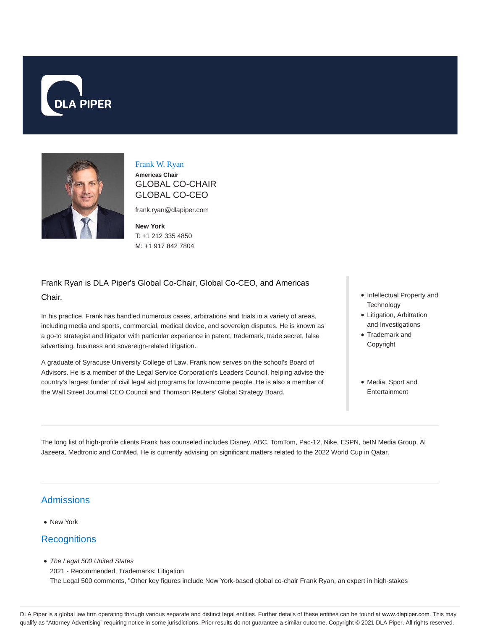



Frank W. Ryan

**Americas Chair** GLOBAL CO-CHAIR GLOBAL CO-CEO

frank.ryan@dlapiper.com

**New York** T: +1 212 335 4850 M: +1 917 842 7804

# Frank Ryan is DLA Piper's Global Co-Chair, Global Co-CEO, and Americas Chair.

In his practice, Frank has handled numerous cases, arbitrations and trials in a variety of areas, including media and sports, commercial, medical device, and sovereign disputes. He is known as a go-to strategist and litigator with particular experience in patent, trademark, trade secret, false advertising, business and sovereign-related litigation.

A graduate of Syracuse University College of Law, Frank now serves on the school's Board of Advisors. He is a member of the Legal Service Corporation's Leaders Council, helping advise the country's largest funder of civil legal aid programs for low-income people. He is also a member of the Wall Street Journal CEO Council and Thomson Reuters' Global Strategy Board.

- Intellectual Property and **Technology**
- Litigation, Arbitration and Investigations
- Trademark and Copyright
- Media, Sport and Entertainment

The long list of high-profile clients Frank has counseled includes Disney, ABC, TomTom, Pac-12, Nike, ESPN, beIN Media Group, Al Jazeera, Medtronic and ConMed. He is currently advising on significant matters related to the 2022 World Cup in Qatar.

## Admissions

• New York

## **Recognitions**

• The Legal 500 United States

2021 - Recommended, Trademarks: Litigation The Legal 500 comments, "Other key figures include New York-based global co-chair Frank Ryan, an expert in high-stakes

DLA Piper is a global law firm operating through various separate and distinct legal entities. Further details of these entities can be found at www.dlapiper.com. This may qualify as "Attorney Advertising" requiring notice in some jurisdictions. Prior results do not guarantee a similar outcome. Copyright @ 2021 DLA Piper. All rights reserved.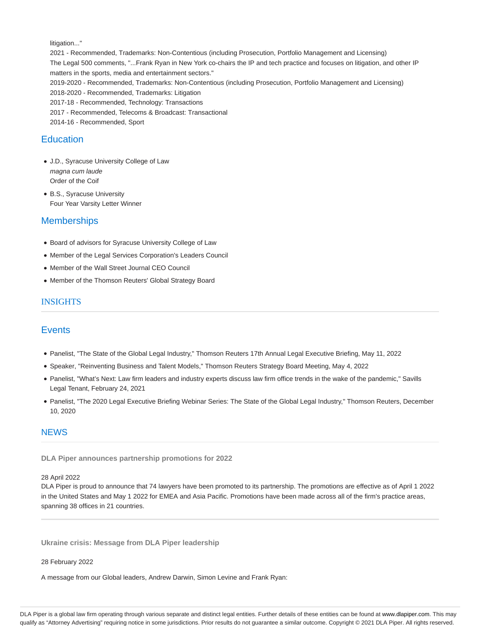litigation..."

2021 - Recommended, Trademarks: Non-Contentious (including Prosecution, Portfolio Management and Licensing) The Legal 500 comments, "...Frank Ryan in New York co-chairs the IP and tech practice and focuses on litigation, and other IP matters in the sports, media and entertainment sectors." 2019-2020 - Recommended, Trademarks: Non-Contentious (including Prosecution, Portfolio Management and Licensing) 2018-2020 - Recommended, Trademarks: Litigation 2017-18 - Recommended, Technology: Transactions

2017 - Recommended, Telecoms & Broadcast: Transactional

2014-16 - Recommended, Sport

### **Education**

- J.D., Syracuse University College of Law magna cum laude Order of the Coif
- B.S., Syracuse University Four Year Varsity Letter Winner

## **Memberships**

- Board of advisors for Syracuse University College of Law
- Member of the Legal Services Corporation's Leaders Council
- Member of the Wall Street Journal CEO Council
- Member of the Thomson Reuters' Global Strategy Board

### INSIGHTS

## **Events**

- Panelist, "The State of the Global Legal Industry," Thomson Reuters 17th Annual Legal Executive Briefing, May 11, 2022
- Speaker, "Reinventing Business and Talent Models," Thomson Reuters Strategy Board Meeting, May 4, 2022
- Panelist, "What's Next: Law firm leaders and industry experts discuss law firm office trends in the wake of the pandemic," Savills Legal Tenant, February 24, 2021
- Panelist, "The 2020 Legal Executive Briefing Webinar Series: The State of the Global Legal Industry," Thomson Reuters, December 10, 2020

#### **NEWS**

**DLA Piper announces partnership promotions for 2022**

#### 28 April 2022

DLA Piper is proud to announce that 74 lawyers have been promoted to its partnership. The promotions are effective as of April 1 2022 in the United States and May 1 2022 for EMEA and Asia Pacific. Promotions have been made across all of the firm's practice areas, spanning 38 offices in 21 countries.

**Ukraine crisis: Message from DLA Piper leadership**

#### 28 February 2022

A message from our Global leaders, Andrew Darwin, Simon Levine and Frank Ryan:

DLA Piper is a global law firm operating through various separate and distinct legal entities. Further details of these entities can be found at www.dlapiper.com. This may qualify as "Attorney Advertising" requiring notice in some jurisdictions. Prior results do not guarantee a similar outcome. Copyright @ 2021 DLA Piper. All rights reserved.